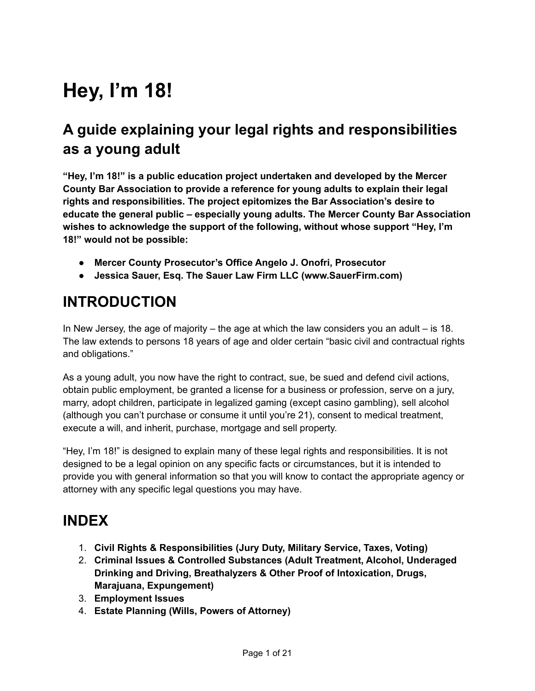# **Hey, I'm 18!**

## **A guide explaining your legal rights and responsibilities as a young adult**

**"Hey, I'm 18!" is a public education project undertaken and developed by the Mercer County Bar Association to provide a reference for young adults to explain their legal rights and responsibilities. The project epitomizes the Bar Association's desire to educate the general public – especially young adults. The Mercer County Bar Association wishes to acknowledge the support of the following, without whose support "Hey, I'm 18!" would not be possible:**

- **Mercer County Prosecutor's Office Angelo J. Onofri, Prosecutor**
- **Jessica Sauer, Esq. The Sauer Law Firm LLC (www.SauerFirm.com)**

## **INTRODUCTION**

In New Jersey, the age of majority – the age at which the law considers you an adult  $-$  is 18. The law extends to persons 18 years of age and older certain "basic civil and contractual rights and obligations."

As a young adult, you now have the right to contract, sue, be sued and defend civil actions, obtain public employment, be granted a license for a business or profession, serve on a jury, marry, adopt children, participate in legalized gaming (except casino gambling), sell alcohol (although you can't purchase or consume it until you're 21), consent to medical treatment, execute a will, and inherit, purchase, mortgage and sell property.

"Hey, I'm 18!" is designed to explain many of these legal rights and responsibilities. It is not designed to be a legal opinion on any specific facts or circumstances, but it is intended to provide you with general information so that you will know to contact the appropriate agency or attorney with any specific legal questions you may have.

## **INDEX**

- 1. **Civil Rights & Responsibilities (Jury Duty, Military Service, Taxes, Voting)**
- 2. **Criminal Issues & Controlled Substances (Adult Treatment, Alcohol, Underaged Drinking and Driving, Breathalyzers & Other Proof of Intoxication, Drugs, Marajuana, Expungement)**
- 3. **Employment Issues**
- 4. **Estate Planning (Wills, Powers of Attorney)**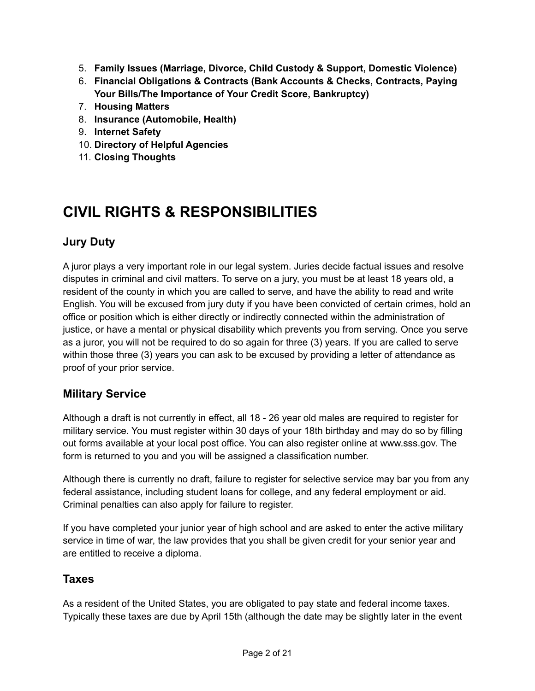- 5. **Family Issues (Marriage, Divorce, Child Custody & Support, Domestic Violence)**
- 6. **Financial Obligations & Contracts (Bank Accounts & Checks, Contracts, Paying Your Bills/The Importance of Your Credit Score, Bankruptcy)**
- 7. **Housing Matters**
- 8. **Insurance (Automobile, Health)**
- 9. **Internet Safety**
- 10. **Directory of Helpful Agencies**
- 11. **Closing Thoughts**

## **CIVIL RIGHTS & RESPONSIBILITIES**

### **Jury Duty**

A juror plays a very important role in our legal system. Juries decide factual issues and resolve disputes in criminal and civil matters. To serve on a jury, you must be at least 18 years old, a resident of the county in which you are called to serve, and have the ability to read and write English. You will be excused from jury duty if you have been convicted of certain crimes, hold an office or position which is either directly or indirectly connected within the administration of justice, or have a mental or physical disability which prevents you from serving. Once you serve as a juror, you will not be required to do so again for three (3) years. If you are called to serve within those three (3) years you can ask to be excused by providing a letter of attendance as proof of your prior service.

#### **Military Service**

Although a draft is not currently in effect, all 18 - 26 year old males are required to register for military service. You must register within 30 days of your 18th birthday and may do so by filling out forms available at your local post office. You can also register online at www.sss.gov. The form is returned to you and you will be assigned a classification number.

Although there is currently no draft, failure to register for selective service may bar you from any federal assistance, including student loans for college, and any federal employment or aid. Criminal penalties can also apply for failure to register.

If you have completed your junior year of high school and are asked to enter the active military service in time of war, the law provides that you shall be given credit for your senior year and are entitled to receive a diploma.

#### **Taxes**

As a resident of the United States, you are obligated to pay state and federal income taxes. Typically these taxes are due by April 15th (although the date may be slightly later in the event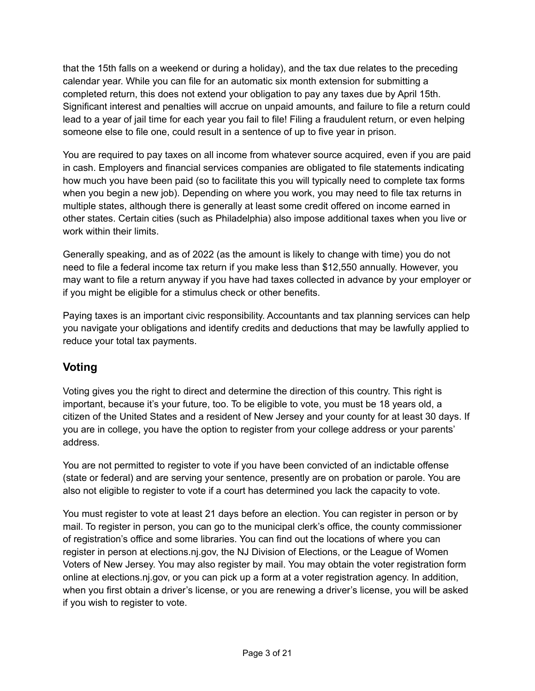that the 15th falls on a weekend or during a holiday), and the tax due relates to the preceding calendar year. While you can file for an automatic six month extension for submitting a completed return, this does not extend your obligation to pay any taxes due by April 15th. Significant interest and penalties will accrue on unpaid amounts, and failure to file a return could lead to a year of jail time for each year you fail to file! Filing a fraudulent return, or even helping someone else to file one, could result in a sentence of up to five year in prison.

You are required to pay taxes on all income from whatever source acquired, even if you are paid in cash. Employers and financial services companies are obligated to file statements indicating how much you have been paid (so to facilitate this you will typically need to complete tax forms when you begin a new job). Depending on where you work, you may need to file tax returns in multiple states, although there is generally at least some credit offered on income earned in other states. Certain cities (such as Philadelphia) also impose additional taxes when you live or work within their limits.

Generally speaking, and as of 2022 (as the amount is likely to change with time) you do not need to file a federal income tax return if you make less than \$12,550 annually. However, you may want to file a return anyway if you have had taxes collected in advance by your employer or if you might be eligible for a stimulus check or other benefits.

Paying taxes is an important civic responsibility. Accountants and tax planning services can help you navigate your obligations and identify credits and deductions that may be lawfully applied to reduce your total tax payments.

## **Voting**

Voting gives you the right to direct and determine the direction of this country. This right is important, because it's your future, too. To be eligible to vote, you must be 18 years old, a citizen of the United States and a resident of New Jersey and your county for at least 30 days. If you are in college, you have the option to register from your college address or your parents' address.

You are not permitted to register to vote if you have been convicted of an indictable offense (state or federal) and are serving your sentence, presently are on probation or parole. You are also not eligible to register to vote if a court has determined you lack the capacity to vote.

You must register to vote at least 21 days before an election. You can register in person or by mail. To register in person, you can go to the municipal clerk's office, the county commissioner of registration's office and some libraries. You can find out the locations of where you can register in person at elections.nj.gov, the NJ Division of Elections, or the League of Women Voters of New Jersey. You may also register by mail. You may obtain the voter registration form online at elections.nj.gov, or you can pick up a form at a voter registration agency. In addition, when you first obtain a driver's license, or you are renewing a driver's license, you will be asked if you wish to register to vote.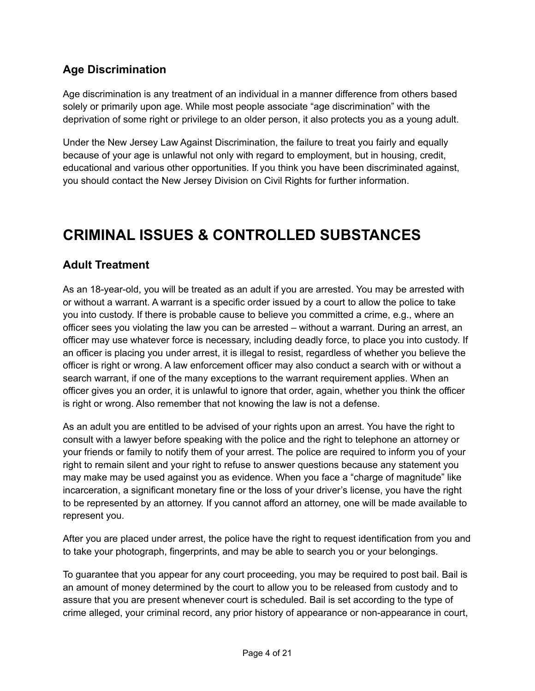## **Age Discrimination**

Age discrimination is any treatment of an individual in a manner difference from others based solely or primarily upon age. While most people associate "age discrimination" with the deprivation of some right or privilege to an older person, it also protects you as a young adult.

Under the New Jersey Law Against Discrimination, the failure to treat you fairly and equally because of your age is unlawful not only with regard to employment, but in housing, credit, educational and various other opportunities. If you think you have been discriminated against, you should contact the New Jersey Division on Civil Rights for further information.

## **CRIMINAL ISSUES & CONTROLLED SUBSTANCES**

### **Adult Treatment**

As an 18-year-old, you will be treated as an adult if you are arrested. You may be arrested with or without a warrant. A warrant is a specific order issued by a court to allow the police to take you into custody. If there is probable cause to believe you committed a crime, e.g., where an officer sees you violating the law you can be arrested – without a warrant. During an arrest, an officer may use whatever force is necessary, including deadly force, to place you into custody. If an officer is placing you under arrest, it is illegal to resist, regardless of whether you believe the officer is right or wrong. A law enforcement officer may also conduct a search with or without a search warrant, if one of the many exceptions to the warrant requirement applies. When an officer gives you an order, it is unlawful to ignore that order, again, whether you think the officer is right or wrong. Also remember that not knowing the law is not a defense.

As an adult you are entitled to be advised of your rights upon an arrest. You have the right to consult with a lawyer before speaking with the police and the right to telephone an attorney or your friends or family to notify them of your arrest. The police are required to inform you of your right to remain silent and your right to refuse to answer questions because any statement you may make may be used against you as evidence. When you face a "charge of magnitude" like incarceration, a significant monetary fine or the loss of your driver's license, you have the right to be represented by an attorney. If you cannot afford an attorney, one will be made available to represent you.

After you are placed under arrest, the police have the right to request identification from you and to take your photograph, fingerprints, and may be able to search you or your belongings.

To guarantee that you appear for any court proceeding, you may be required to post bail. Bail is an amount of money determined by the court to allow you to be released from custody and to assure that you are present whenever court is scheduled. Bail is set according to the type of crime alleged, your criminal record, any prior history of appearance or non-appearance in court,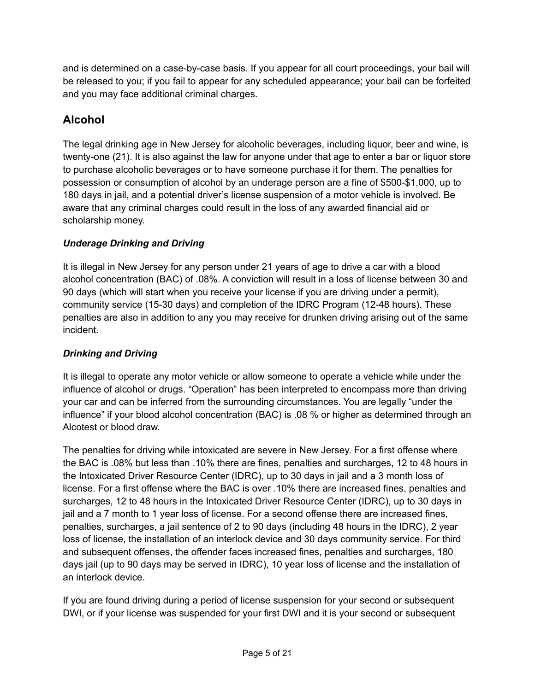and is determined on a case-by-case basis. If you appear for all court proceedings, your bail will be released to you; if you fail to appear for any scheduled appearance; your bail can be forfeited and you may face additional criminal charges.

## **Alcohol**

The legal drinking age in New Jersey for alcoholic beverages, including liquor, beer and wine, is twenty-one (21). It is also against the law for anyone under that age to enter a bar or liquor store to purchase alcoholic beverages or to have someone purchase it for them. The penalties for possession or consumption of alcohol by an underage person are a fine of \$500-\$1,000, up to 180 days in jail, and a potential driver's license suspension of a motor vehicle is involved. Be aware that any criminal charges could result in the loss of any awarded financial aid or scholarship money.

#### *Underage Drinking and Driving*

It is illegal in New Jersey for any person under 21 years of age to drive a car with a blood alcohol concentration (BAC) of .08%. A conviction will result in a loss of license between 30 and 90 days (which will start when you receive your license if you are driving under a permit), community service (15-30 days) and completion of the IDRC Program (12-48 hours). These penalties are also in addition to any you may receive for drunken driving arising out of the same incident.

### *Drinking and Driving*

It is illegal to operate any motor vehicle or allow someone to operate a vehicle while under the influence of alcohol or drugs. "Operation" has been interpreted to encompass more than driving your car and can be inferred from the surrounding circumstances. You are legally "under the influence" if your blood alcohol concentration (BAC) is .08 % or higher as determined through an Alcotest or blood draw.

The penalties for driving while intoxicated are severe in New Jersey. For a first offense where the BAC is .08% but less than .10% there are fines, penalties and surcharges, 12 to 48 hours in the Intoxicated Driver Resource Center (IDRC), up to 30 days in jail and a 3 month loss of license. For a first offense where the BAC is over .10% there are increased fines, penalties and surcharges, 12 to 48 hours in the Intoxicated Driver Resource Center (IDRC), up to 30 days in jail and a 7 month to 1 year loss of license. For a second offense there are increased fines, penalties, surcharges, a jail sentence of 2 to 90 days (including 48 hours in the IDRC), 2 year loss of license, the installation of an interlock device and 30 days community service. For third and subsequent offenses, the offender faces increased fines, penalties and surcharges, 180 days jail (up to 90 days may be served in IDRC), 10 year loss of license and the installation of an interlock device.

If you are found driving during a period of license suspension for your second or subsequent DWI, or if your license was suspended for your first DWI and it is your second or subsequent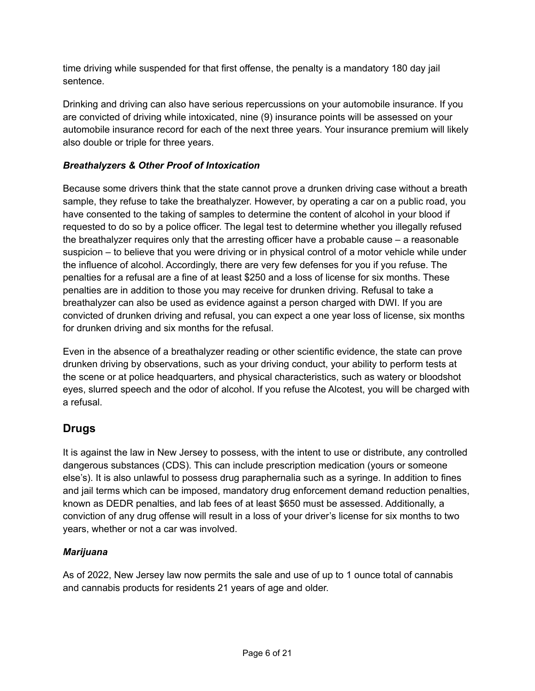time driving while suspended for that first offense, the penalty is a mandatory 180 day jail sentence.

Drinking and driving can also have serious repercussions on your automobile insurance. If you are convicted of driving while intoxicated, nine (9) insurance points will be assessed on your automobile insurance record for each of the next three years. Your insurance premium will likely also double or triple for three years.

#### *Breathalyzers & Other Proof of Intoxication*

Because some drivers think that the state cannot prove a drunken driving case without a breath sample, they refuse to take the breathalyzer. However, by operating a car on a public road, you have consented to the taking of samples to determine the content of alcohol in your blood if requested to do so by a police officer. The legal test to determine whether you illegally refused the breathalyzer requires only that the arresting officer have a probable cause – a reasonable suspicion – to believe that you were driving or in physical control of a motor vehicle while under the influence of alcohol. Accordingly, there are very few defenses for you if you refuse. The penalties for a refusal are a fine of at least \$250 and a loss of license for six months. These penalties are in addition to those you may receive for drunken driving. Refusal to take a breathalyzer can also be used as evidence against a person charged with DWI. If you are convicted of drunken driving and refusal, you can expect a one year loss of license, six months for drunken driving and six months for the refusal.

Even in the absence of a breathalyzer reading or other scientific evidence, the state can prove drunken driving by observations, such as your driving conduct, your ability to perform tests at the scene or at police headquarters, and physical characteristics, such as watery or bloodshot eyes, slurred speech and the odor of alcohol. If you refuse the Alcotest, you will be charged with a refusal.

## **Drugs**

It is against the law in New Jersey to possess, with the intent to use or distribute, any controlled dangerous substances (CDS). This can include prescription medication (yours or someone else's). It is also unlawful to possess drug paraphernalia such as a syringe. In addition to fines and jail terms which can be imposed, mandatory drug enforcement demand reduction penalties, known as DEDR penalties, and lab fees of at least \$650 must be assessed. Additionally, a conviction of any drug offense will result in a loss of your driver's license for six months to two years, whether or not a car was involved.

#### *Marijuana*

As of 2022, New Jersey law now permits the sale and use of up to 1 ounce total of cannabis and cannabis products for residents 21 years of age and older.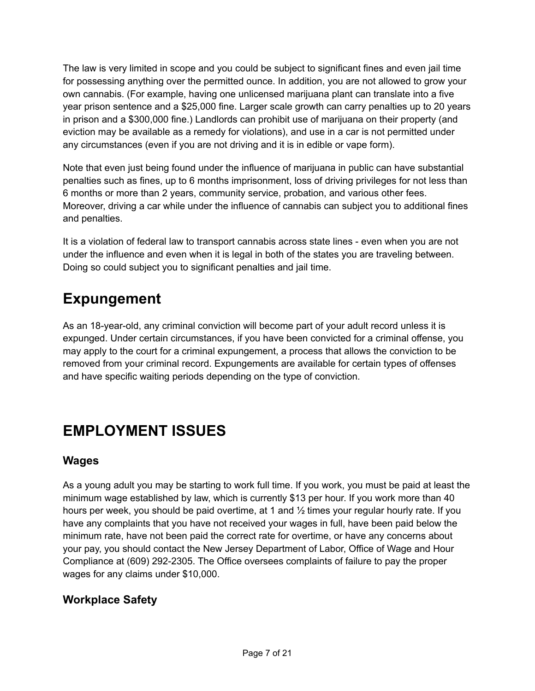The law is very limited in scope and you could be subject to significant fines and even jail time for possessing anything over the permitted ounce. In addition, you are not allowed to grow your own cannabis. (For example, having one unlicensed marijuana plant can translate into a five year prison sentence and a \$25,000 fine. Larger scale growth can carry penalties up to 20 years in prison and a \$300,000 fine.) Landlords can prohibit use of marijuana on their property (and eviction may be available as a remedy for violations), and use in a car is not permitted under any circumstances (even if you are not driving and it is in edible or vape form).

Note that even just being found under the influence of marijuana in public can have substantial penalties such as fines, up to 6 months imprisonment, loss of driving privileges for not less than 6 months or more than 2 years, community service, probation, and various other fees. Moreover, driving a car while under the influence of cannabis can subject you to additional fines and penalties.

It is a violation of federal law to transport cannabis across state lines - even when you are not under the influence and even when it is legal in both of the states you are traveling between. Doing so could subject you to significant penalties and jail time.

## **Expungement**

As an 18-year-old, any criminal conviction will become part of your adult record unless it is expunged. Under certain circumstances, if you have been convicted for a criminal offense, you may apply to the court for a criminal expungement, a process that allows the conviction to be removed from your criminal record. Expungements are available for certain types of offenses and have specific waiting periods depending on the type of conviction.

## **EMPLOYMENT ISSUES**

## **Wages**

As a young adult you may be starting to work full time. If you work, you must be paid at least the minimum wage established by law, which is currently \$13 per hour. If you work more than 40 hours per week, you should be paid overtime, at 1 and  $\frac{1}{2}$  times your regular hourly rate. If you have any complaints that you have not received your wages in full, have been paid below the minimum rate, have not been paid the correct rate for overtime, or have any concerns about your pay, you should contact the New Jersey Department of Labor, Office of Wage and Hour Compliance at (609) 292-2305. The Office oversees complaints of failure to pay the proper wages for any claims under \$10,000.

## **Workplace Safety**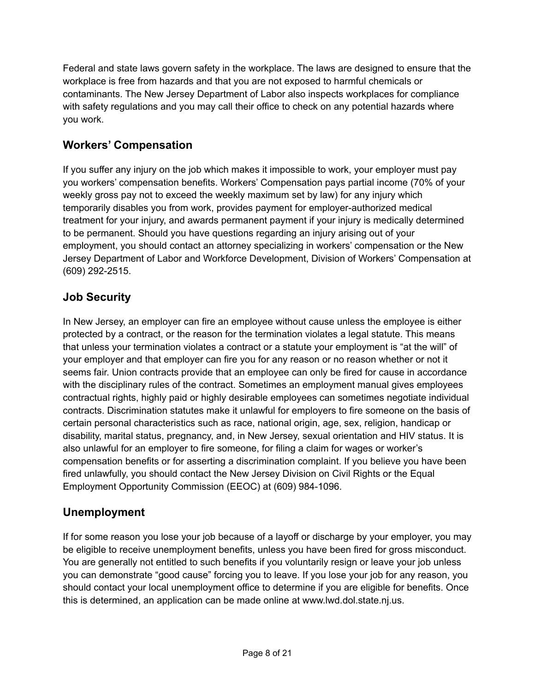Federal and state laws govern safety in the workplace. The laws are designed to ensure that the workplace is free from hazards and that you are not exposed to harmful chemicals or contaminants. The New Jersey Department of Labor also inspects workplaces for compliance with safety regulations and you may call their office to check on any potential hazards where you work.

## **Workers' Compensation**

If you suffer any injury on the job which makes it impossible to work, your employer must pay you workers' compensation benefits. Workers' Compensation pays partial income (70% of your weekly gross pay not to exceed the weekly maximum set by law) for any injury which temporarily disables you from work, provides payment for employer-authorized medical treatment for your injury, and awards permanent payment if your injury is medically determined to be permanent. Should you have questions regarding an injury arising out of your employment, you should contact an attorney specializing in workers' compensation or the New Jersey Department of Labor and Workforce Development, Division of Workers' Compensation at (609) 292-2515.

## **Job Security**

In New Jersey, an employer can fire an employee without cause unless the employee is either protected by a contract, or the reason for the termination violates a legal statute. This means that unless your termination violates a contract or a statute your employment is "at the will" of your employer and that employer can fire you for any reason or no reason whether or not it seems fair. Union contracts provide that an employee can only be fired for cause in accordance with the disciplinary rules of the contract. Sometimes an employment manual gives employees contractual rights, highly paid or highly desirable employees can sometimes negotiate individual contracts. Discrimination statutes make it unlawful for employers to fire someone on the basis of certain personal characteristics such as race, national origin, age, sex, religion, handicap or disability, marital status, pregnancy, and, in New Jersey, sexual orientation and HIV status. It is also unlawful for an employer to fire someone, for filing a claim for wages or worker's compensation benefits or for asserting a discrimination complaint. If you believe you have been fired unlawfully, you should contact the New Jersey Division on Civil Rights or the Equal Employment Opportunity Commission (EEOC) at (609) 984-1096.

## **Unemployment**

If for some reason you lose your job because of a layoff or discharge by your employer, you may be eligible to receive unemployment benefits, unless you have been fired for gross misconduct. You are generally not entitled to such benefits if you voluntarily resign or leave your job unless you can demonstrate "good cause" forcing you to leave. If you lose your job for any reason, you should contact your local unemployment office to determine if you are eligible for benefits. Once this is determined, an application can be made online at www.lwd.dol.state.nj.us.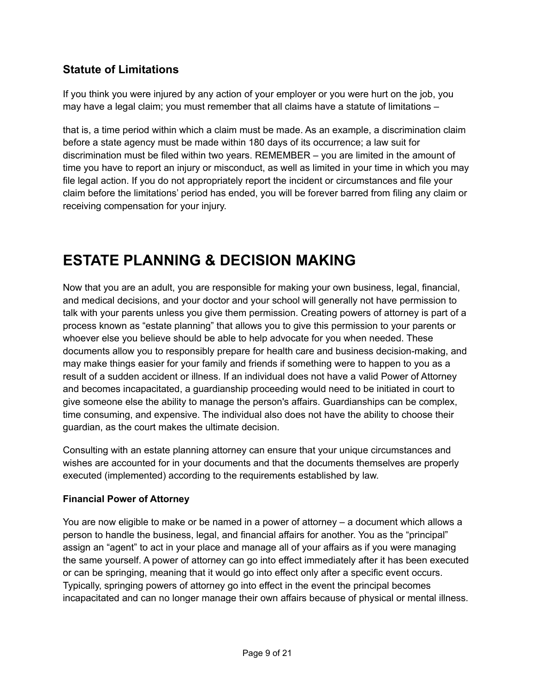## **Statute of Limitations**

If you think you were injured by any action of your employer or you were hurt on the job, you may have a legal claim; you must remember that all claims have a statute of limitations –

that is, a time period within which a claim must be made. As an example, a discrimination claim before a state agency must be made within 180 days of its occurrence; a law suit for discrimination must be filed within two years. REMEMBER – you are limited in the amount of time you have to report an injury or misconduct, as well as limited in your time in which you may file legal action. If you do not appropriately report the incident or circumstances and file your claim before the limitations' period has ended, you will be forever barred from filing any claim or receiving compensation for your injury.

## **ESTATE PLANNING & DECISION MAKING**

Now that you are an adult, you are responsible for making your own business, legal, financial, and medical decisions, and your doctor and your school will generally not have permission to talk with your parents unless you give them permission. Creating powers of attorney is part of a process known as "estate planning" that allows you to give this permission to your parents or whoever else you believe should be able to help advocate for you when needed. These documents allow you to responsibly prepare for health care and business decision-making, and may make things easier for your family and friends if something were to happen to you as a result of a sudden accident or illness. If an individual does not have a valid Power of Attorney and becomes incapacitated, a guardianship proceeding would need to be initiated in court to give someone else the ability to manage the person's affairs. Guardianships can be complex, time consuming, and expensive. The individual also does not have the ability to choose their guardian, as the court makes the ultimate decision.

Consulting with an estate planning attorney can ensure that your unique circumstances and wishes are accounted for in your documents and that the documents themselves are properly executed (implemented) according to the requirements established by law.

#### **Financial Power of Attorney**

You are now eligible to make or be named in a power of attorney – a document which allows a person to handle the business, legal, and financial affairs for another. You as the "principal" assign an "agent" to act in your place and manage all of your affairs as if you were managing the same yourself. A power of attorney can go into effect immediately after it has been executed or can be springing, meaning that it would go into effect only after a specific event occurs. Typically, springing powers of attorney go into effect in the event the principal becomes incapacitated and can no longer manage their own affairs because of physical or mental illness.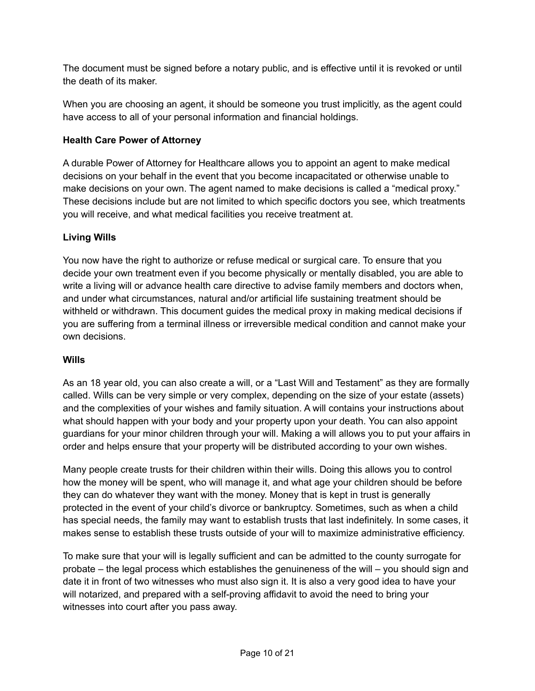The document must be signed before a notary public, and is effective until it is revoked or until the death of its maker.

When you are choosing an agent, it should be someone you trust implicitly, as the agent could have access to all of your personal information and financial holdings.

#### **Health Care Power of Attorney**

A durable Power of Attorney for Healthcare allows you to appoint an agent to make medical decisions on your behalf in the event that you become incapacitated or otherwise unable to make decisions on your own. The agent named to make decisions is called a "medical proxy." These decisions include but are not limited to which specific doctors you see, which treatments you will receive, and what medical facilities you receive treatment at.

#### **Living Wills**

You now have the right to authorize or refuse medical or surgical care. To ensure that you decide your own treatment even if you become physically or mentally disabled, you are able to write a living will or advance health care directive to advise family members and doctors when, and under what circumstances, natural and/or artificial life sustaining treatment should be withheld or withdrawn. This document guides the medical proxy in making medical decisions if you are suffering from a terminal illness or irreversible medical condition and cannot make your own decisions.

#### **Wills**

As an 18 year old, you can also create a will, or a "Last Will and Testament" as they are formally called. Wills can be very simple or very complex, depending on the size of your estate (assets) and the complexities of your wishes and family situation. A will contains your instructions about what should happen with your body and your property upon your death. You can also appoint guardians for your minor children through your will. Making a will allows you to put your affairs in order and helps ensure that your property will be distributed according to your own wishes.

Many people create trusts for their children within their wills. Doing this allows you to control how the money will be spent, who will manage it, and what age your children should be before they can do whatever they want with the money. Money that is kept in trust is generally protected in the event of your child's divorce or bankruptcy. Sometimes, such as when a child has special needs, the family may want to establish trusts that last indefinitely. In some cases, it makes sense to establish these trusts outside of your will to maximize administrative efficiency.

To make sure that your will is legally sufficient and can be admitted to the county surrogate for probate – the legal process which establishes the genuineness of the will – you should sign and date it in front of two witnesses who must also sign it. It is also a very good idea to have your will notarized, and prepared with a self-proving affidavit to avoid the need to bring your witnesses into court after you pass away.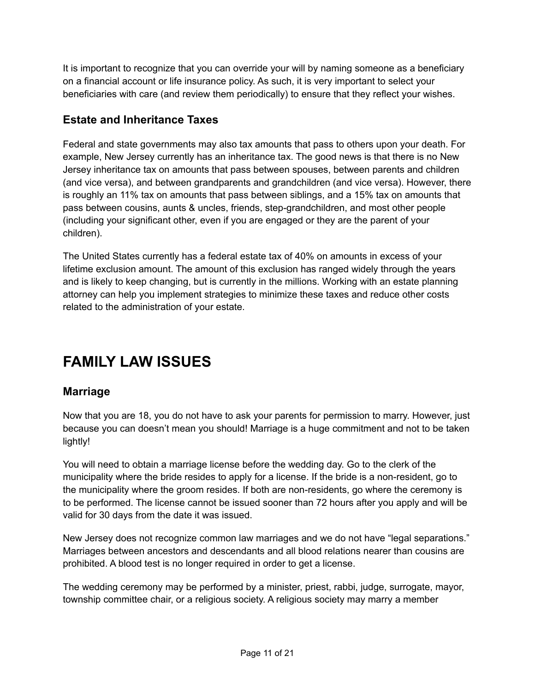It is important to recognize that you can override your will by naming someone as a beneficiary on a financial account or life insurance policy. As such, it is very important to select your beneficiaries with care (and review them periodically) to ensure that they reflect your wishes.

### **Estate and Inheritance Taxes**

Federal and state governments may also tax amounts that pass to others upon your death. For example, New Jersey currently has an inheritance tax. The good news is that there is no New Jersey inheritance tax on amounts that pass between spouses, between parents and children (and vice versa), and between grandparents and grandchildren (and vice versa). However, there is roughly an 11% tax on amounts that pass between siblings, and a 15% tax on amounts that pass between cousins, aunts & uncles, friends, step-grandchildren, and most other people (including your significant other, even if you are engaged or they are the parent of your children).

The United States currently has a federal estate tax of 40% on amounts in excess of your lifetime exclusion amount. The amount of this exclusion has ranged widely through the years and is likely to keep changing, but is currently in the millions. Working with an estate planning attorney can help you implement strategies to minimize these taxes and reduce other costs related to the administration of your estate.

## **FAMILY LAW ISSUES**

### **Marriage**

Now that you are 18, you do not have to ask your parents for permission to marry. However, just because you can doesn't mean you should! Marriage is a huge commitment and not to be taken lightly!

You will need to obtain a marriage license before the wedding day. Go to the clerk of the municipality where the bride resides to apply for a license. If the bride is a non-resident, go to the municipality where the groom resides. If both are non-residents, go where the ceremony is to be performed. The license cannot be issued sooner than 72 hours after you apply and will be valid for 30 days from the date it was issued.

New Jersey does not recognize common law marriages and we do not have "legal separations." Marriages between ancestors and descendants and all blood relations nearer than cousins are prohibited. A blood test is no longer required in order to get a license.

The wedding ceremony may be performed by a minister, priest, rabbi, judge, surrogate, mayor, township committee chair, or a religious society. A religious society may marry a member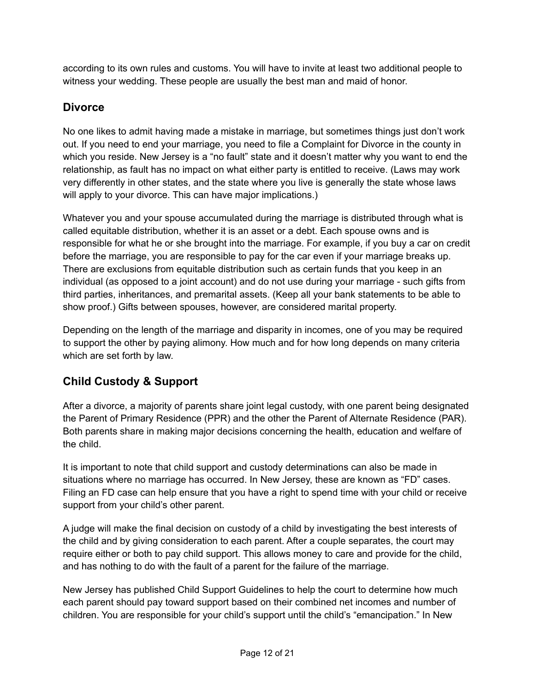according to its own rules and customs. You will have to invite at least two additional people to witness your wedding. These people are usually the best man and maid of honor.

### **Divorce**

No one likes to admit having made a mistake in marriage, but sometimes things just don't work out. If you need to end your marriage, you need to file a Complaint for Divorce in the county in which you reside. New Jersey is a "no fault" state and it doesn't matter why you want to end the relationship, as fault has no impact on what either party is entitled to receive. (Laws may work very differently in other states, and the state where you live is generally the state whose laws will apply to your divorce. This can have major implications.)

Whatever you and your spouse accumulated during the marriage is distributed through what is called equitable distribution, whether it is an asset or a debt. Each spouse owns and is responsible for what he or she brought into the marriage. For example, if you buy a car on credit before the marriage, you are responsible to pay for the car even if your marriage breaks up. There are exclusions from equitable distribution such as certain funds that you keep in an individual (as opposed to a joint account) and do not use during your marriage - such gifts from third parties, inheritances, and premarital assets. (Keep all your bank statements to be able to show proof.) Gifts between spouses, however, are considered marital property.

Depending on the length of the marriage and disparity in incomes, one of you may be required to support the other by paying alimony. How much and for how long depends on many criteria which are set forth by law.

## **Child Custody & Support**

After a divorce, a majority of parents share joint legal custody, with one parent being designated the Parent of Primary Residence (PPR) and the other the Parent of Alternate Residence (PAR). Both parents share in making major decisions concerning the health, education and welfare of the child.

It is important to note that child support and custody determinations can also be made in situations where no marriage has occurred. In New Jersey, these are known as "FD" cases. Filing an FD case can help ensure that you have a right to spend time with your child or receive support from your child's other parent.

A judge will make the final decision on custody of a child by investigating the best interests of the child and by giving consideration to each parent. After a couple separates, the court may require either or both to pay child support. This allows money to care and provide for the child, and has nothing to do with the fault of a parent for the failure of the marriage.

New Jersey has published Child Support Guidelines to help the court to determine how much each parent should pay toward support based on their combined net incomes and number of children. You are responsible for your child's support until the child's "emancipation." In New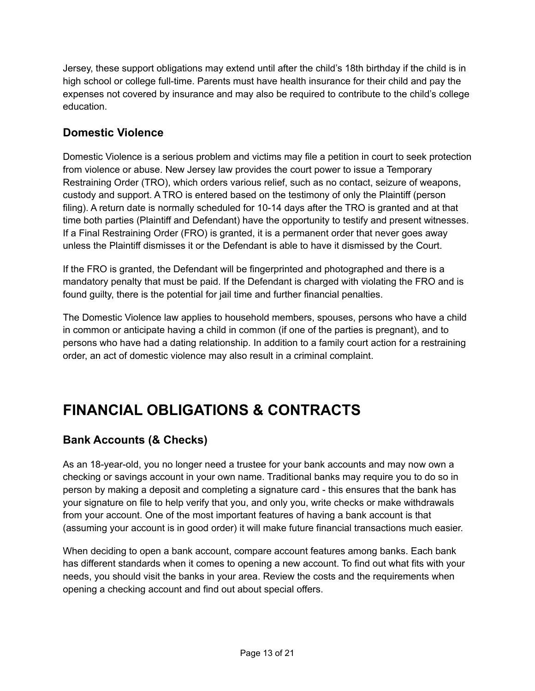Jersey, these support obligations may extend until after the child's 18th birthday if the child is in high school or college full-time. Parents must have health insurance for their child and pay the expenses not covered by insurance and may also be required to contribute to the child's college education.

## **Domestic Violence**

Domestic Violence is a serious problem and victims may file a petition in court to seek protection from violence or abuse. New Jersey law provides the court power to issue a Temporary Restraining Order (TRO), which orders various relief, such as no contact, seizure of weapons, custody and support. A TRO is entered based on the testimony of only the Plaintiff (person filing). A return date is normally scheduled for 10-14 days after the TRO is granted and at that time both parties (Plaintiff and Defendant) have the opportunity to testify and present witnesses. If a Final Restraining Order (FRO) is granted, it is a permanent order that never goes away unless the Plaintiff dismisses it or the Defendant is able to have it dismissed by the Court.

If the FRO is granted, the Defendant will be fingerprinted and photographed and there is a mandatory penalty that must be paid. If the Defendant is charged with violating the FRO and is found guilty, there is the potential for jail time and further financial penalties.

The Domestic Violence law applies to household members, spouses, persons who have a child in common or anticipate having a child in common (if one of the parties is pregnant), and to persons who have had a dating relationship. In addition to a family court action for a restraining order, an act of domestic violence may also result in a criminal complaint.

## **FINANCIAL OBLIGATIONS & CONTRACTS**

## **Bank Accounts (& Checks)**

As an 18-year-old, you no longer need a trustee for your bank accounts and may now own a checking or savings account in your own name. Traditional banks may require you to do so in person by making a deposit and completing a signature card - this ensures that the bank has your signature on file to help verify that you, and only you, write checks or make withdrawals from your account. One of the most important features of having a bank account is that (assuming your account is in good order) it will make future financial transactions much easier.

When deciding to open a bank account, compare account features among banks. Each bank has different standards when it comes to opening a new account. To find out what fits with your needs, you should visit the banks in your area. Review the costs and the requirements when opening a checking account and find out about special offers.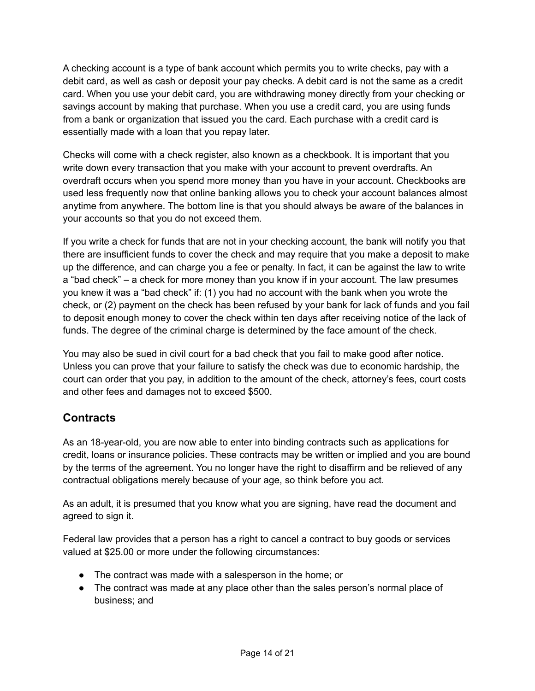A checking account is a type of bank account which permits you to write checks, pay with a debit card, as well as cash or deposit your pay checks. A debit card is not the same as a credit card. When you use your debit card, you are withdrawing money directly from your checking or savings account by making that purchase. When you use a credit card, you are using funds from a bank or organization that issued you the card. Each purchase with a credit card is essentially made with a loan that you repay later.

Checks will come with a check register, also known as a checkbook. It is important that you write down every transaction that you make with your account to prevent overdrafts. An overdraft occurs when you spend more money than you have in your account. Checkbooks are used less frequently now that online banking allows you to check your account balances almost anytime from anywhere. The bottom line is that you should always be aware of the balances in your accounts so that you do not exceed them.

If you write a check for funds that are not in your checking account, the bank will notify you that there are insufficient funds to cover the check and may require that you make a deposit to make up the difference, and can charge you a fee or penalty. In fact, it can be against the law to write a "bad check" – a check for more money than you know if in your account. The law presumes you knew it was a "bad check" if: (1) you had no account with the bank when you wrote the check, or (2) payment on the check has been refused by your bank for lack of funds and you fail to deposit enough money to cover the check within ten days after receiving notice of the lack of funds. The degree of the criminal charge is determined by the face amount of the check.

You may also be sued in civil court for a bad check that you fail to make good after notice. Unless you can prove that your failure to satisfy the check was due to economic hardship, the court can order that you pay, in addition to the amount of the check, attorney's fees, court costs and other fees and damages not to exceed \$500.

## **Contracts**

As an 18-year-old, you are now able to enter into binding contracts such as applications for credit, loans or insurance policies. These contracts may be written or implied and you are bound by the terms of the agreement. You no longer have the right to disaffirm and be relieved of any contractual obligations merely because of your age, so think before you act.

As an adult, it is presumed that you know what you are signing, have read the document and agreed to sign it.

Federal law provides that a person has a right to cancel a contract to buy goods or services valued at \$25.00 or more under the following circumstances:

- The contract was made with a salesperson in the home; or
- The contract was made at any place other than the sales person's normal place of business; and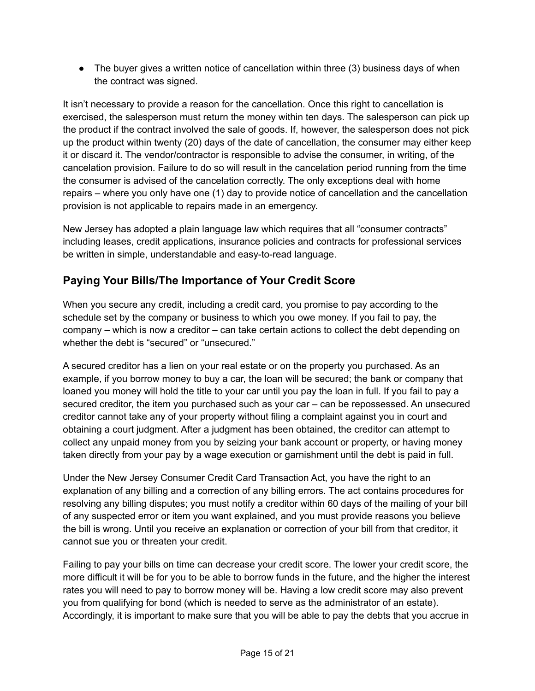• The buyer gives a written notice of cancellation within three (3) business days of when the contract was signed.

It isn't necessary to provide a reason for the cancellation. Once this right to cancellation is exercised, the salesperson must return the money within ten days. The salesperson can pick up the product if the contract involved the sale of goods. If, however, the salesperson does not pick up the product within twenty (20) days of the date of cancellation, the consumer may either keep it or discard it. The vendor/contractor is responsible to advise the consumer, in writing, of the cancelation provision. Failure to do so will result in the cancelation period running from the time the consumer is advised of the cancelation correctly. The only exceptions deal with home repairs – where you only have one (1) day to provide notice of cancellation and the cancellation provision is not applicable to repairs made in an emergency.

New Jersey has adopted a plain language law which requires that all "consumer contracts" including leases, credit applications, insurance policies and contracts for professional services be written in simple, understandable and easy-to-read language.

## **Paying Your Bills/The Importance of Your Credit Score**

When you secure any credit, including a credit card, you promise to pay according to the schedule set by the company or business to which you owe money. If you fail to pay, the company – which is now a creditor – can take certain actions to collect the debt depending on whether the debt is "secured" or "unsecured."

A secured creditor has a lien on your real estate or on the property you purchased. As an example, if you borrow money to buy a car, the loan will be secured; the bank or company that loaned you money will hold the title to your car until you pay the loan in full. If you fail to pay a secured creditor, the item you purchased such as your car – can be repossessed. An unsecured creditor cannot take any of your property without filing a complaint against you in court and obtaining a court judgment. After a judgment has been obtained, the creditor can attempt to collect any unpaid money from you by seizing your bank account or property, or having money taken directly from your pay by a wage execution or garnishment until the debt is paid in full.

Under the New Jersey Consumer Credit Card Transaction Act, you have the right to an explanation of any billing and a correction of any billing errors. The act contains procedures for resolving any billing disputes; you must notify a creditor within 60 days of the mailing of your bill of any suspected error or item you want explained, and you must provide reasons you believe the bill is wrong. Until you receive an explanation or correction of your bill from that creditor, it cannot sue you or threaten your credit.

Failing to pay your bills on time can decrease your credit score. The lower your credit score, the more difficult it will be for you to be able to borrow funds in the future, and the higher the interest rates you will need to pay to borrow money will be. Having a low credit score may also prevent you from qualifying for bond (which is needed to serve as the administrator of an estate). Accordingly, it is important to make sure that you will be able to pay the debts that you accrue in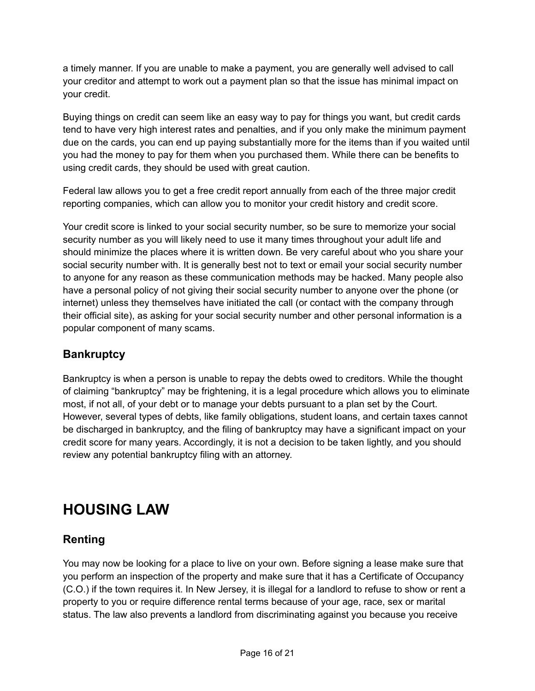a timely manner. If you are unable to make a payment, you are generally well advised to call your creditor and attempt to work out a payment plan so that the issue has minimal impact on your credit.

Buying things on credit can seem like an easy way to pay for things you want, but credit cards tend to have very high interest rates and penalties, and if you only make the minimum payment due on the cards, you can end up paying substantially more for the items than if you waited until you had the money to pay for them when you purchased them. While there can be benefits to using credit cards, they should be used with great caution.

Federal law allows you to get a free credit report annually from each of the three major credit reporting companies, which can allow you to monitor your credit history and credit score.

Your credit score is linked to your social security number, so be sure to memorize your social security number as you will likely need to use it many times throughout your adult life and should minimize the places where it is written down. Be very careful about who you share your social security number with. It is generally best not to text or email your social security number to anyone for any reason as these communication methods may be hacked. Many people also have a personal policy of not giving their social security number to anyone over the phone (or internet) unless they themselves have initiated the call (or contact with the company through their official site), as asking for your social security number and other personal information is a popular component of many scams.

## **Bankruptcy**

Bankruptcy is when a person is unable to repay the debts owed to creditors. While the thought of claiming "bankruptcy" may be frightening, it is a legal procedure which allows you to eliminate most, if not all, of your debt or to manage your debts pursuant to a plan set by the Court. However, several types of debts, like family obligations, student loans, and certain taxes cannot be discharged in bankruptcy, and the filing of bankruptcy may have a significant impact on your credit score for many years. Accordingly, it is not a decision to be taken lightly, and you should review any potential bankruptcy filing with an attorney.

## **HOUSING LAW**

## **Renting**

You may now be looking for a place to live on your own. Before signing a lease make sure that you perform an inspection of the property and make sure that it has a Certificate of Occupancy (C.O.) if the town requires it. In New Jersey, it is illegal for a landlord to refuse to show or rent a property to you or require difference rental terms because of your age, race, sex or marital status. The law also prevents a landlord from discriminating against you because you receive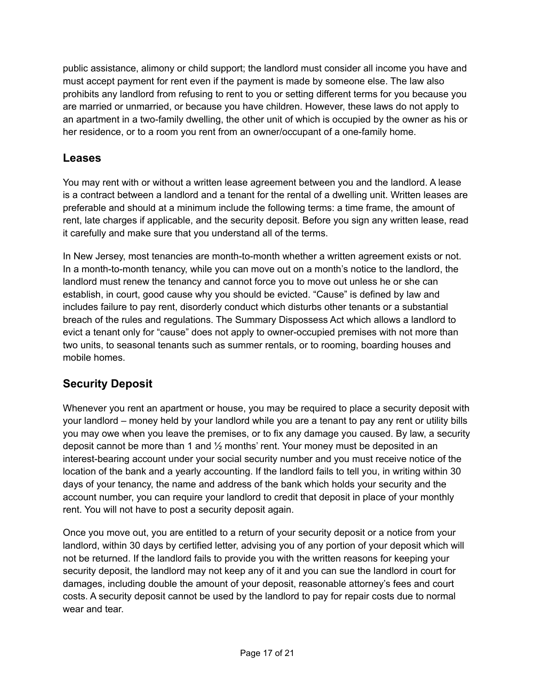public assistance, alimony or child support; the landlord must consider all income you have and must accept payment for rent even if the payment is made by someone else. The law also prohibits any landlord from refusing to rent to you or setting different terms for you because you are married or unmarried, or because you have children. However, these laws do not apply to an apartment in a two-family dwelling, the other unit of which is occupied by the owner as his or her residence, or to a room you rent from an owner/occupant of a one-family home.

### **Leases**

You may rent with or without a written lease agreement between you and the landlord. A lease is a contract between a landlord and a tenant for the rental of a dwelling unit. Written leases are preferable and should at a minimum include the following terms: a time frame, the amount of rent, late charges if applicable, and the security deposit. Before you sign any written lease, read it carefully and make sure that you understand all of the terms.

In New Jersey, most tenancies are month-to-month whether a written agreement exists or not. In a month-to-month tenancy, while you can move out on a month's notice to the landlord, the landlord must renew the tenancy and cannot force you to move out unless he or she can establish, in court, good cause why you should be evicted. "Cause" is defined by law and includes failure to pay rent, disorderly conduct which disturbs other tenants or a substantial breach of the rules and regulations. The Summary Dispossess Act which allows a landlord to evict a tenant only for "cause" does not apply to owner-occupied premises with not more than two units, to seasonal tenants such as summer rentals, or to rooming, boarding houses and mobile homes.

## **Security Deposit**

Whenever you rent an apartment or house, you may be required to place a security deposit with your landlord – money held by your landlord while you are a tenant to pay any rent or utility bills you may owe when you leave the premises, or to fix any damage you caused. By law, a security deposit cannot be more than 1 and ½ months' rent. Your money must be deposited in an interest-bearing account under your social security number and you must receive notice of the location of the bank and a yearly accounting. If the landlord fails to tell you, in writing within 30 days of your tenancy, the name and address of the bank which holds your security and the account number, you can require your landlord to credit that deposit in place of your monthly rent. You will not have to post a security deposit again.

Once you move out, you are entitled to a return of your security deposit or a notice from your landlord, within 30 days by certified letter, advising you of any portion of your deposit which will not be returned. If the landlord fails to provide you with the written reasons for keeping your security deposit, the landlord may not keep any of it and you can sue the landlord in court for damages, including double the amount of your deposit, reasonable attorney's fees and court costs. A security deposit cannot be used by the landlord to pay for repair costs due to normal wear and tear.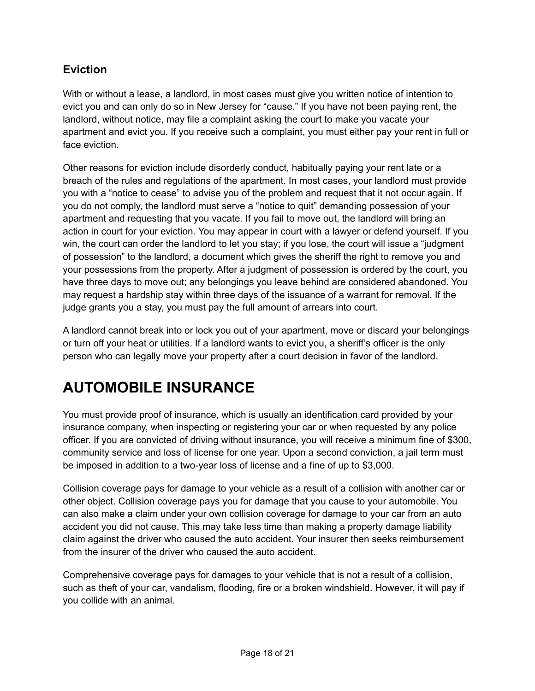### **Eviction**

With or without a lease, a landlord, in most cases must give you written notice of intention to evict you and can only do so in New Jersey for "cause." If you have not been paying rent, the landlord, without notice, may file a complaint asking the court to make you vacate your apartment and evict you. If you receive such a complaint, you must either pay your rent in full or face eviction

Other reasons for eviction include disorderly conduct, habitually paying your rent late or a breach of the rules and regulations of the apartment. In most cases, your landlord must provide you with a "notice to cease" to advise you of the problem and request that it not occur again. If you do not comply, the landlord must serve a "notice to quit" demanding possession of your apartment and requesting that you vacate. If you fail to move out, the landlord will bring an action in court for your eviction. You may appear in court with a lawyer or defend yourself. If you win, the court can order the landlord to let you stay; if you lose, the court will issue a "judgment of possession" to the landlord, a document which gives the sheriff the right to remove you and your possessions from the property. After a judgment of possession is ordered by the court, you have three days to move out; any belongings you leave behind are considered abandoned. You may request a hardship stay within three days of the issuance of a warrant for removal. If the judge grants you a stay, you must pay the full amount of arrears into court.

A landlord cannot break into or lock you out of your apartment, move or discard your belongings or turn off your heat or utilities. If a landlord wants to evict you, a sheriff's officer is the only person who can legally move your property after a court decision in favor of the landlord.

## **AUTOMOBILE INSURANCE**

You must provide proof of insurance, which is usually an identification card provided by your insurance company, when inspecting or registering your car or when requested by any police officer. If you are convicted of driving without insurance, you will receive a minimum fine of \$300, community service and loss of license for one year. Upon a second conviction, a jail term must be imposed in addition to a two-year loss of license and a fine of up to \$3,000.

Collision coverage pays for damage to your vehicle as a result of a collision with another car or other object. Collision coverage pays you for damage that you cause to your automobile. You can also make a claim under your own collision coverage for damage to your car from an auto accident you did not cause. This may take less time than making a property damage liability claim against the driver who caused the auto accident. Your insurer then seeks reimbursement from the insurer of the driver who caused the auto accident.

Comprehensive coverage pays for damages to your vehicle that is not a result of a collision, such as theft of your car, vandalism, flooding, fire or a broken windshield. However, it will pay if you collide with an animal.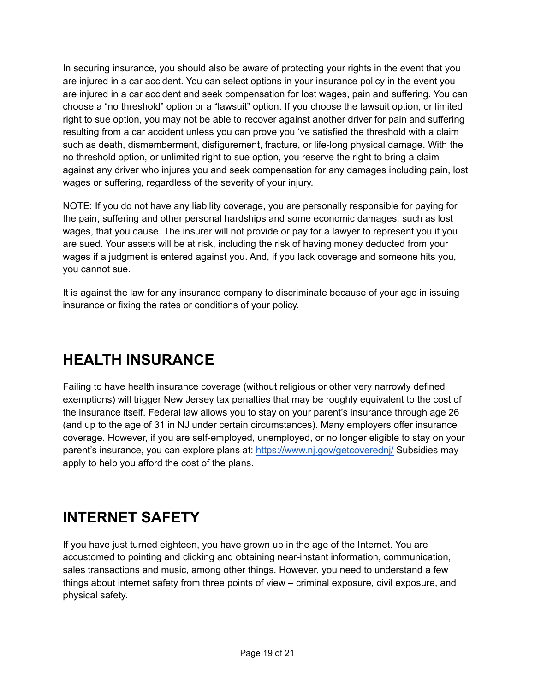In securing insurance, you should also be aware of protecting your rights in the event that you are injured in a car accident. You can select options in your insurance policy in the event you are injured in a car accident and seek compensation for lost wages, pain and suffering. You can choose a "no threshold" option or a "lawsuit" option. If you choose the lawsuit option, or limited right to sue option, you may not be able to recover against another driver for pain and suffering resulting from a car accident unless you can prove you 've satisfied the threshold with a claim such as death, dismemberment, disfigurement, fracture, or life-long physical damage. With the no threshold option, or unlimited right to sue option, you reserve the right to bring a claim against any driver who injures you and seek compensation for any damages including pain, lost wages or suffering, regardless of the severity of your injury.

NOTE: If you do not have any liability coverage, you are personally responsible for paying for the pain, suffering and other personal hardships and some economic damages, such as lost wages, that you cause. The insurer will not provide or pay for a lawyer to represent you if you are sued. Your assets will be at risk, including the risk of having money deducted from your wages if a judgment is entered against you. And, if you lack coverage and someone hits you, you cannot sue.

It is against the law for any insurance company to discriminate because of your age in issuing insurance or fixing the rates or conditions of your policy.

## **HEALTH INSURANCE**

Failing to have health insurance coverage (without religious or other very narrowly defined exemptions) will trigger New Jersey tax penalties that may be roughly equivalent to the cost of the insurance itself. Federal law allows you to stay on your parent's insurance through age 26 (and up to the age of 31 in NJ under certain circumstances). Many employers offer insurance coverage. However, if you are self-employed, unemployed, or no longer eligible to stay on your parent's insurance, you can explore plans at: <https://www.nj.gov/getcoverednj/> Subsidies may apply to help you afford the cost of the plans.

## **INTERNET SAFETY**

If you have just turned eighteen, you have grown up in the age of the Internet. You are accustomed to pointing and clicking and obtaining near-instant information, communication, sales transactions and music, among other things. However, you need to understand a few things about internet safety from three points of view – criminal exposure, civil exposure, and physical safety.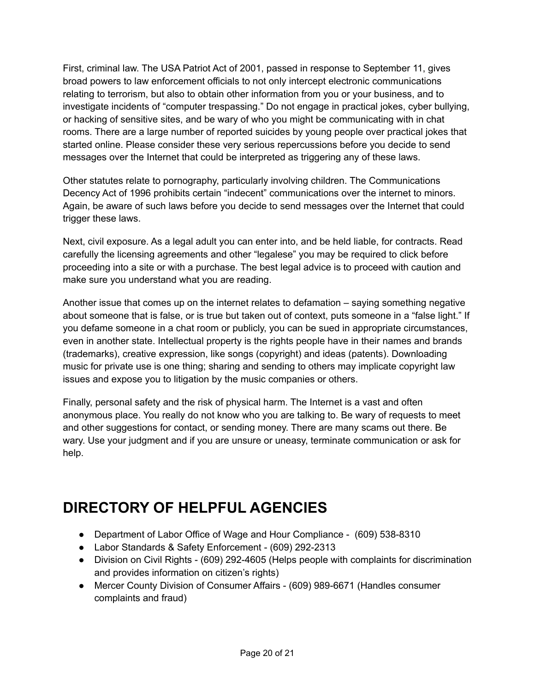First, criminal law. The USA Patriot Act of 2001, passed in response to September 11, gives broad powers to law enforcement officials to not only intercept electronic communications relating to terrorism, but also to obtain other information from you or your business, and to investigate incidents of "computer trespassing." Do not engage in practical jokes, cyber bullying, or hacking of sensitive sites, and be wary of who you might be communicating with in chat rooms. There are a large number of reported suicides by young people over practical jokes that started online. Please consider these very serious repercussions before you decide to send messages over the Internet that could be interpreted as triggering any of these laws.

Other statutes relate to pornography, particularly involving children. The Communications Decency Act of 1996 prohibits certain "indecent" communications over the internet to minors. Again, be aware of such laws before you decide to send messages over the Internet that could trigger these laws.

Next, civil exposure. As a legal adult you can enter into, and be held liable, for contracts. Read carefully the licensing agreements and other "legalese" you may be required to click before proceeding into a site or with a purchase. The best legal advice is to proceed with caution and make sure you understand what you are reading.

Another issue that comes up on the internet relates to defamation – saying something negative about someone that is false, or is true but taken out of context, puts someone in a "false light." If you defame someone in a chat room or publicly, you can be sued in appropriate circumstances, even in another state. Intellectual property is the rights people have in their names and brands (trademarks), creative expression, like songs (copyright) and ideas (patents). Downloading music for private use is one thing; sharing and sending to others may implicate copyright law issues and expose you to litigation by the music companies or others.

Finally, personal safety and the risk of physical harm. The Internet is a vast and often anonymous place. You really do not know who you are talking to. Be wary of requests to meet and other suggestions for contact, or sending money. There are many scams out there. Be wary. Use your judgment and if you are unsure or uneasy, terminate communication or ask for help.

## **DIRECTORY OF HELPFUL AGENCIES**

- Department of Labor Office of Wage and Hour Compliance (609) 538-8310
- Labor Standards & Safety Enforcement (609) 292-2313
- Division on Civil Rights (609) 292-4605 (Helps people with complaints for discrimination and provides information on citizen's rights)
- Mercer County Division of Consumer Affairs (609) 989-6671 (Handles consumer complaints and fraud)